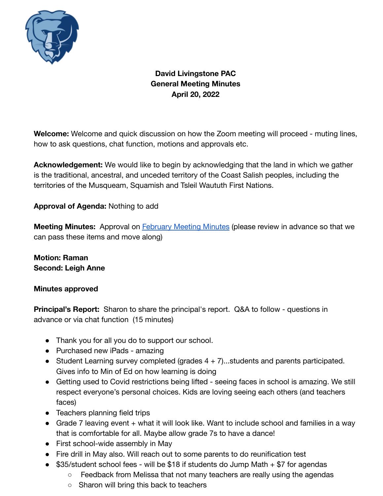

**David Livingstone PAC General Meeting Minutes April 20, 2022**

**Welcome:** Welcome and quick discussion on how the Zoom meeting will proceed - muting lines, how to ask questions, chat function, motions and approvals etc.

**Acknowledgement:** We would like to begin by acknowledging that the land in which we gather is the traditional, ancestral, and unceded territory of the Coast Salish peoples, including the territories of the Musqueam, Squamish and Tsleil Waututh First Nations.

**Approval of Agenda:** Nothing to add

**Meeting Minutes:** Approval on **[February Meeting Minutes](https://docs.google.com/document/d/1Ei_q-HSEnn1imOSeXqdX7iuaaPUW6z9HpyTjv4IPjtc/edit?usp=sharing)** (please review in advance so that we can pass these items and move along)

**Motion: Raman Second: Leigh Anne**

### **Minutes approved**

**Principal's Report:** Sharon to share the principal's report. Q&A to follow - questions in advance or via chat function (15 minutes)

- Thank you for all you do to support our school.
- Purchased new iPads amazing
- Student Learning survey completed (grades  $4 + 7$ )...students and parents participated. Gives info to Min of Ed on how learning is doing
- Getting used to Covid restrictions being lifted seeing faces in school is amazing. We still respect everyone's personal choices. Kids are loving seeing each others (and teachers faces)
- Teachers planning field trips
- Grade 7 leaving event + what it will look like. Want to include school and families in a way that is comfortable for all. Maybe allow grade 7s to have a dance!
- First school-wide assembly in May
- Fire drill in May also. Will reach out to some parents to do reunification test
- $$35/student school fees will be $18 if students do Jump Math + $7 for agents$ 
	- Feedback from Melissa that not many teachers are really using the agendas
	- Sharon will bring this back to teachers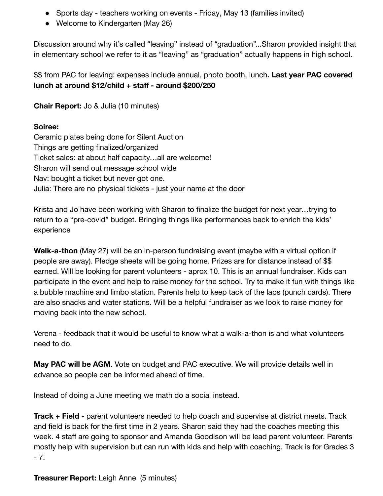- Sports day teachers working on events Friday, May 13 (families invited)
- Welcome to Kindergarten (May 26)

Discussion around why it's called "leaving" instead of "graduation"...Sharon provided insight that in elementary school we refer to it as "leaving" as "graduation" actually happens in high school.

\$\$ from PAC for leaving: expenses include annual, photo booth, lunch**. Last year PAC covered lunch at around \$12/child + staff - around \$200/250**

**Chair Report:** Jo & Julia (10 minutes)

# **Soiree:**

Ceramic plates being done for Silent Auction Things are getting finalized/organized Ticket sales: at about half capacity…all are welcome! Sharon will send out message school wide Nav: bought a ticket but never got one. Julia: There are no physical tickets - just your name at the door

Krista and Jo have been working with Sharon to finalize the budget for next year…trying to return to a "pre-covid" budget. Bringing things like performances back to enrich the kids' experience

**Walk-a-thon** (May 27) will be an in-person fundraising event (maybe with a virtual option if people are away). Pledge sheets will be going home. Prizes are for distance instead of \$\$ earned. Will be looking for parent volunteers - aprox 10. This is an annual fundraiser. Kids can participate in the event and help to raise money for the school. Try to make it fun with things like a bubble machine and limbo station. Parents help to keep tack of the laps (punch cards). There are also snacks and water stations. Will be a helpful fundraiser as we look to raise money for moving back into the new school.

Verena - feedback that it would be useful to know what a walk-a-thon is and what volunteers need to do.

**May PAC will be AGM**. Vote on budget and PAC executive. We will provide details well in advance so people can be informed ahead of time.

Instead of doing a June meeting we math do a social instead.

**Track + Field** - parent volunteers needed to help coach and supervise at district meets. Track and field is back for the first time in 2 years. Sharon said they had the coaches meeting this week. 4 staff are going to sponsor and Amanda Goodison will be lead parent volunteer. Parents mostly help with supervision but can run with kids and help with coaching. Track is for Grades 3  $-7.$ 

**Treasurer Report:** Leigh Anne (5 minutes)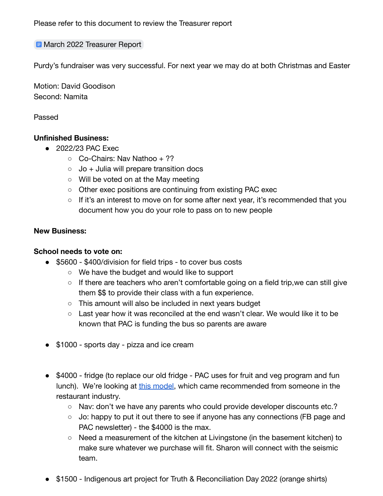Please refer to this document to review the Treasurer report

### **E** [March 2022 Treasurer Report](https://docs.google.com/document/d/1X1cWkSpf-x73GxjRluKIuxEzoMHaVjp5z0X-3pIOWp0/edit?usp=sharing)

Purdy's fundraiser was very successful. For next year we may do at both Christmas and Easter

Motion: David Goodison Second: Namita

Passed

### **Unfinished Business:**

- 2022/23 PAC Exec
	- $\circ$  Co-Chairs: Nav Nathoo + ??
	- $\circ$  Jo + Julia will prepare transition docs
	- Will be voted on at the May meeting
	- Other exec positions are continuing from existing PAC exec
	- $\circ$  If it's an interest to move on for some after next year, it's recommended that you document how you do your role to pass on to new people

#### **New Business:**

#### **School needs to vote on:**

- \$5600 \$400/division for field trips to cover bus costs
	- We have the budget and would like to support
	- If there are teachers who aren't comfortable going on a field trip, we can still give them \$\$ to provide their class with a fun experience.
	- This amount will also be included in next years budget
	- $\circ$  Last year how it was reconciled at the end wasn't clear. We would like it to be known that PAC is funding the bus so parents are aware
- \$1000 sports day pizza and ice cream
- \$4000 fridge (to replace our old fridge PAC uses for fruit and veg program and fun lunch). We're looking at [this model](https://www.vortexrestaurantequipment.ca/product/efi-c2-54vc-54%E2%80%B3-2-door-solid-reach-in-refrigerator/), which came recommended from someone in the restaurant industry.
	- Nav: don't we have any parents who could provide developer discounts etc.?
	- Jo: happy to put it out there to see if anyone has any connections (FB page and PAC newsletter) - the \$4000 is the max.
	- Need a measurement of the kitchen at Livingstone (in the basement kitchen) to make sure whatever we purchase will fit. Sharon will connect with the seismic team.
- \$1500 Indigenous art project for Truth & Reconciliation Day 2022 (orange shirts)